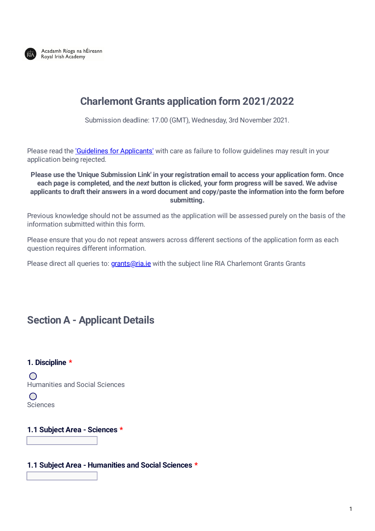

# **Charlemont Grants application form 2021/2022**

Submission deadline: 17.00 (GMT), Wednesday, 3rd November 2021.

Please read the 'Guidelines for [Applicants'](https://www.ria.ie/sites/default/files/charlemontgrants_guidelines_2021.pdf) with care as failure to follow guidelines may result in your application being rejected.

#### **Please use the 'Unique Submission Link' in your registration email to access your application form. Once** each page is completed, and the next button is clicked, your form progress will be saved. We advise **applicants to draft their answers in a word document and copy/paste the information into the form before submitting.**

Previous knowledge should not be assumed as the application will be assessed purely on the basis of the information submitted within this form.

Please ensure that you do not repeat answers across different sections of the application form as each question requires different information.

Please direct all queries to: *[grants@ria.ie](mailto:grants@ria.ie)* with the subject line RIA Charlemont Grants Grants

## **Section A - Applicant Details**

#### **1. Discipline \***

 $\bigcirc$ Humanities and Social Sciences

 $\bigcap$ Sciences

### **1.1 Subject Area - Sciences \***

#### **1.1 Subject Area - Humanities and Social Sciences \***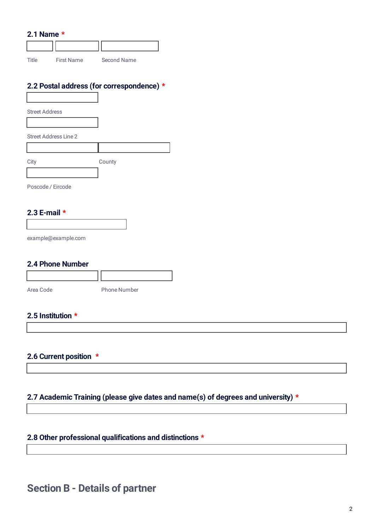#### **2.1 Name \***

Title First Name Second Name

## **2.2 Postal address (for correspondence) \***

Street Address

Street Address Line 2

City County

Poscode / Eircode

## **2.3 E-mail \***

example@example.com

### **2.4 Phone Number**

| Area Code | <b>Phone Number</b> |
|-----------|---------------------|

## **2.5 Institution \***

#### **2.6 Current position \***

### **2.7 Academic Training (please give dates and name(s) of degrees and university) \***

## **2.8 Other professional qualifications and distinctions \***

## **Section B - Details of partner**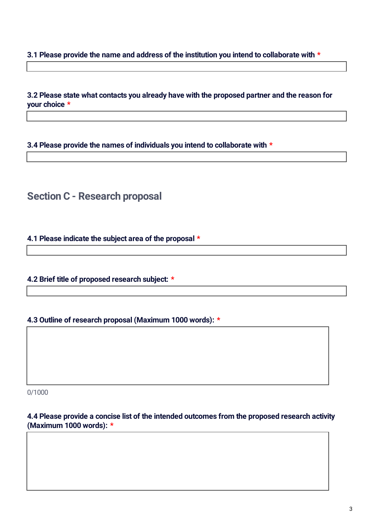**3.1 Please provide the name and address of the institution you intend to collaborate with \***

**3.2 Please state what contacts you already have with the proposed partner and the reason for your choice \***

**3.4 Please provide the names of individuals you intend to collaborate with \***

**Section C - Research proposal**

**4.1 Please indicate the subject area of the proposal \***

**4.2 Brief title of proposed research subject: \***

**4.3 Outline of research proposal (Maximum 1000 words): \***

0/1000

**4.4 Please provide a concise list of the intended outcomes from the proposed research activity (Maximum 1000 words): \***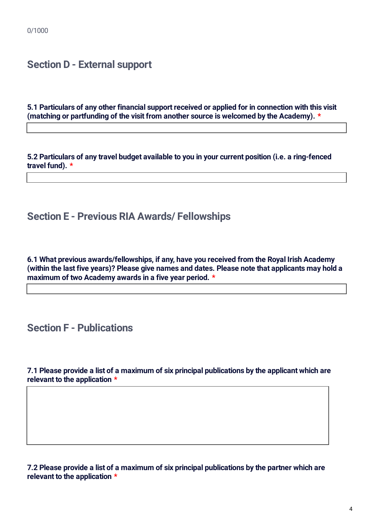## **Section D - External support**

**5.1 Particulars of any other financial support received or applied for in connection with this visit (matching or partfunding of the visit from another source is welcomed by the Academy). \***

**5.2 Particulars of any travel budget available to you in your current position (i.e. a ring-fenced travel fund). \***

## **Section E - Previous RIA Awards/ Fellowships**

**6.1 What previous awards/fellowships, if any, have you received from the Royal Irish Academy (within the last five years)? Please give names and dates. Please note that applicants may hold a maximum of two Academy awards in a five year period. \***

## **Section F - Publications**

**7.1 Please provide a list of a maximum of six principal publications by the applicant which are relevant to the application \***

**7.2 Please provide a list of a maximum of six principal publications by the partner which are relevant to the application \***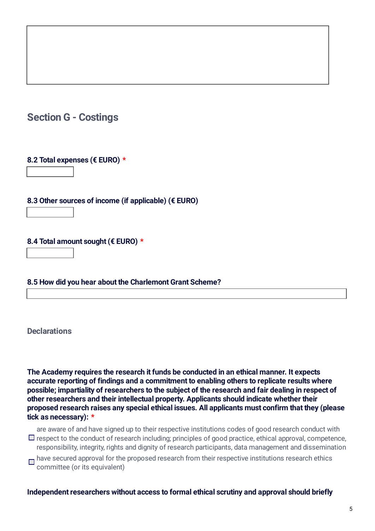# **Section G - Costings**

## **8.2 Total expenses (€ EURO) \***

**8.3 Other sources of income (if applicable) (€ EURO)**

## **8.4 Total amount sought (€ EURO) \***

### **8.5 How did you hear about the Charlemont Grant Scheme?**

## **Declarations**

**The Academy requires the research it funds be conducted in an ethical manner. It expects accurate reporting of findings and a commitment to enabling others to replicate results where possible; impartiality of researchers to the subject of the research and fair dealing in respect of other researchers and their intellectual property. Applicants should indicate whether their proposed research raises any special ethical issues. All applicants must confirm that they (please tick as necessary): \***

are aware of and have signed up to their respective institutions codes of good research conduct with  $\Box$  respect to the conduct of research including; principles of good practice, ethical approval, competence, responsibility, integrity, rights and dignity of research participants, data management and dissemination

 $\Box$  have secured approval for the proposed research from their respective institutions research ethics committee (or its equivalent)

### **Independent researchers without access to formal ethical scrutiny and approval should briefly**